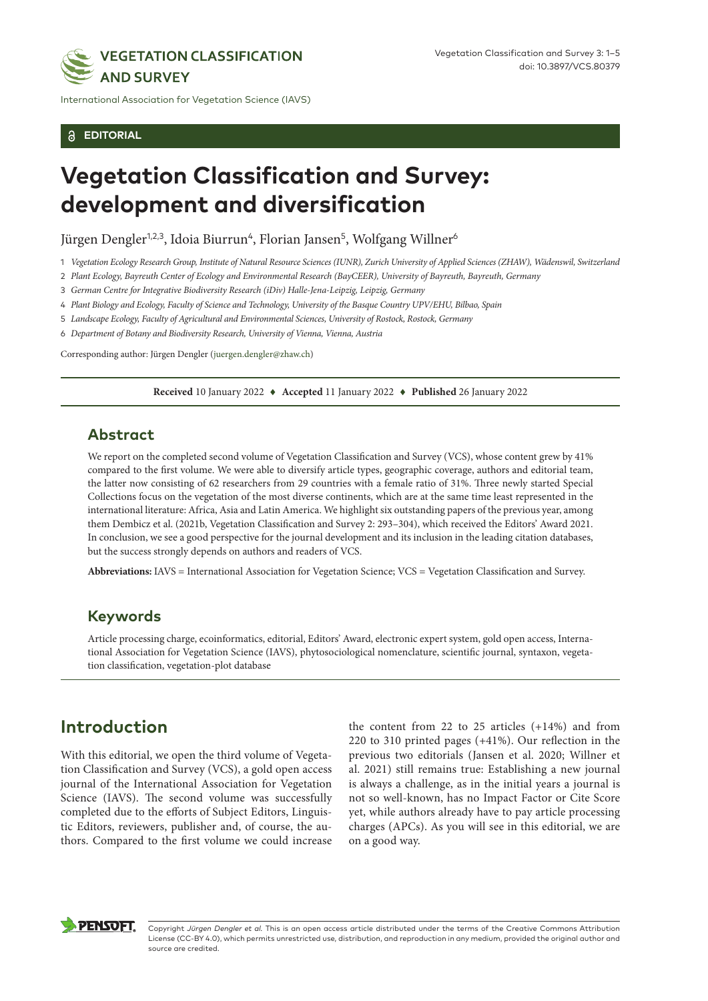

International Association for Vegetation Science (IAVS)

#### **EDITORIAL**

# **Vegetation Classification and Survey: development and diversification**

Jürgen Dengler<sup>1,2,3</sup>, Idoia Biurrun<sup>4</sup>, Florian Jansen<sup>5</sup>, Wolfgang Willner<sup>6</sup>

1 *Vegetation Ecology Research Group, Institute of Natural Resource Sciences (IUNR), Zurich University of Applied Sciences (ZHAW), Wädenswil, Switzerland*

2 *Plant Ecology, Bayreuth Center of Ecology and Environmental Research (BayCEER), University of Bayreuth, Bayreuth, Germany*

3 *German Centre for Integrative Biodiversity Research (iDiv) Halle-Jena-Leipzig, Leipzig, Germany*

4 *Plant Biology and Ecology, Faculty of Science and Technology, University of the Basque Country UPV/EHU, Bilbao, Spain*

5 *Landscape Ecology, Faculty of Agricultural and Environmental Sciences, University of Rostock, Rostock, Germany*

6 *Department of Botany and Biodiversity Research, University of Vienna, Vienna, Austria*

Corresponding author: Jürgen Dengler ([juergen.dengler@zhaw.ch\)](mailto:juergen.dengler@zhaw.ch)

**Received** 10 January 2022 ♦ **Accepted** 11 January 2022 ♦ **Published** 26 January 2022

#### **Abstract**

We report on the completed second volume of Vegetation Classification and Survey (VCS), whose content grew by 41% compared to the first volume. We were able to diversify article types, geographic coverage, authors and editorial team, the latter now consisting of 62 researchers from 29 countries with a female ratio of 31%. Three newly started Special Collections focus on the vegetation of the most diverse continents, which are at the same time least represented in the international literature: Africa, Asia and Latin America. We highlight six outstanding papers of the previous year, among them Dembicz et al. (2021b, Vegetation Classification and Survey 2: 293–304), which received the Editors' Award 2021. In conclusion, we see a good perspective for the journal development and its inclusion in the leading citation databases, but the success strongly depends on authors and readers of VCS.

**Abbreviations:** IAVS = International Association for Vegetation Science; VCS = Vegetation Classification and Survey.

### **Keywords**

Article processing charge, ecoinformatics, editorial, Editors' Award, electronic expert system, gold open access, International Association for Vegetation Science (IAVS), phytosociological nomenclature, scientific journal, syntaxon, vegetation classification, vegetation-plot database

### **Introduction**

With this editorial, we open the third volume of Vegetation Classification and Survey (VCS), a gold open access journal of the International Association for Vegetation Science (IAVS). The second volume was successfully completed due to the efforts of Subject Editors, Linguistic Editors, reviewers, publisher and, of course, the authors. Compared to the first volume we could increase

the content from 22 to 25 articles (+14%) and from 220 to 310 printed pages (+41%). Our reflection in the previous two editorials (Jansen et al. 2020; Willner et al. 2021) still remains true: Establishing a new journal is always a challenge, as in the initial years a journal is not so well-known, has no Impact Factor or Cite Score yet, while authors already have to pay article processing charges (APCs). As you will see in this editorial, we are on a good way.



Copyright *Jürgen Dengler et al.* This is an open access article distributed under the terms of the Creative Commons Attribution License (CC-BY 4.0), which permits unrestricted use, distribution, and reproduction in any medium, provided the original author and source are credited.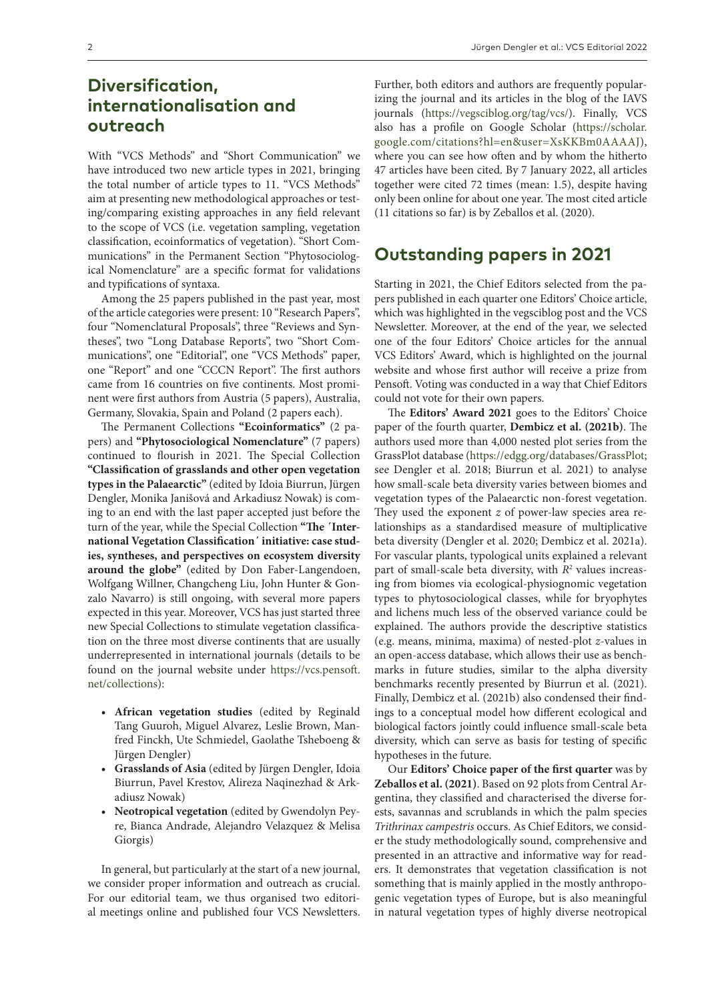### **Diversification, internationalisation and outreach**

With "VCS Methods" and "Short Communication" we have introduced two new article types in 2021, bringing the total number of article types to 11. "VCS Methods" aim at presenting new methodological approaches or testing/comparing existing approaches in any field relevant to the scope of VCS (i.e. vegetation sampling, vegetation classification, ecoinformatics of vegetation). "Short Communications" in the Permanent Section "Phytosociological Nomenclature" are a specific format for validations and typifications of syntaxa.

Among the 25 papers published in the past year, most of the article categories were present: 10 "Research Papers", four "Nomenclatural Proposals", three "Reviews and Syntheses", two "Long Database Reports", two "Short Communications", one "Editorial", one "VCS Methods" paper, one "Report" and one "CCCN Report". The first authors came from 16 countries on five continents. Most prominent were first authors from Austria (5 papers), Australia, Germany, Slovakia, Spain and Poland (2 papers each).

The Permanent Collections **"Ecoinformatics"** (2 papers) and **"Phytosociological Nomenclature"** (7 papers) continued to flourish in 2021. The Special Collection **"Classification of grasslands and other open vegetation types in the Palaearctic"** (edited by Idoia Biurrun, Jürgen Dengler, Monika Janišová and Arkadiusz Nowak) is coming to an end with the last paper accepted just before the turn of the year, while the Special Collection **"The ´International Vegetation Classification´ initiative: case studies, syntheses, and perspectives on ecosystem diversity around the globe"** (edited by Don Faber-Langendoen, Wolfgang Willner, Changcheng Liu, John Hunter & Gonzalo Navarro) is still ongoing, with several more papers expected in this year. Moreover, VCS has just started three new Special Collections to stimulate vegetation classification on the three most diverse continents that are usually underrepresented in international journals (details to be found on the journal website under [https://vcs.pensoft.](https://vcs.pensoft.net/collections) [net/collections\)](https://vcs.pensoft.net/collections):

- **• African vegetation studies** (edited by Reginald Tang Guuroh, Miguel Alvarez, Leslie Brown, Manfred Finckh, Ute Schmiedel, Gaolathe Tsheboeng & Jürgen Dengler)
- **• Grasslands of Asia** (edited by Jürgen Dengler, Idoia Biurrun, Pavel Krestov, Alireza Naqinezhad & Arkadiusz Nowak)
- **• Neotropical vegetation** (edited by Gwendolyn Peyre, Bianca Andrade, Alejandro Velazquez & Melisa Giorgis)

In general, but particularly at the start of a new journal, we consider proper information and outreach as crucial. For our editorial team, we thus organised two editorial meetings online and published four VCS Newsletters.

Further, both editors and authors are frequently popularizing the journal and its articles in the blog of the IAVS journals (<https://vegsciblog.org/tag/vcs/>). Finally, VCS also has a profile on Google Scholar ([https://scholar.](https://scholar.google.com/citations?hl=en&user=XsKKBm0AAAAJ) [google.com/citations?hl=en&user=XsKKBm0AAAAJ](https://scholar.google.com/citations?hl=en&user=XsKKBm0AAAAJ)), where you can see how often and by whom the hitherto 47 articles have been cited. By 7 January 2022, all articles together were cited 72 times (mean: 1.5), despite having only been online for about one year. The most cited article (11 citations so far) is by Zeballos et al. (2020).

### **Outstanding papers in 2021**

Starting in 2021, the Chief Editors selected from the papers published in each quarter one Editors' Choice article, which was highlighted in the vegsciblog post and the VCS Newsletter. Moreover, at the end of the year, we selected one of the four Editors' Choice articles for the annual VCS Editors' Award, which is highlighted on the journal website and whose first author will receive a prize from Pensoft. Voting was conducted in a way that Chief Editors could not vote for their own papers.

The **Editors' Award 2021** goes to the Editors' Choice paper of the fourth quarter, **Dembicz et al. (2021b)**. The authors used more than 4,000 nested plot series from the GrassPlot database [\(https://edgg.org/databases/GrassPlot;](https://edgg.org/databases/GrassPlot) see Dengler et al. 2018; Biurrun et al. 2021) to analyse how small-scale beta diversity varies between biomes and vegetation types of the Palaearctic non-forest vegetation. They used the exponent *z* of power-law species area relationships as a standardised measure of multiplicative beta diversity (Dengler et al. 2020; Dembicz et al. 2021a). For vascular plants, typological units explained a relevant part of small-scale beta diversity, with  $R^2$  values increasing from biomes via ecological-physiognomic vegetation types to phytosociological classes, while for bryophytes and lichens much less of the observed variance could be explained. The authors provide the descriptive statistics (e.g. means, minima, maxima) of nested-plot *z*-values in an open-access database, which allows their use as benchmarks in future studies, similar to the alpha diversity benchmarks recently presented by Biurrun et al. (2021). Finally, Dembicz et al. (2021b) also condensed their findings to a conceptual model how different ecological and biological factors jointly could influence small-scale beta diversity, which can serve as basis for testing of specific hypotheses in the future.

Our **Editors' Choice paper of the first quarter** was by **Zeballos et al. (2021)**. Based on 92 plots from Central Argentina, they classified and characterised the diverse forests, savannas and scrublands in which the palm species *Trithrinax campestris* occurs. As Chief Editors, we consider the study methodologically sound, comprehensive and presented in an attractive and informative way for readers. It demonstrates that vegetation classification is not something that is mainly applied in the mostly anthropogenic vegetation types of Europe, but is also meaningful in natural vegetation types of highly diverse neotropical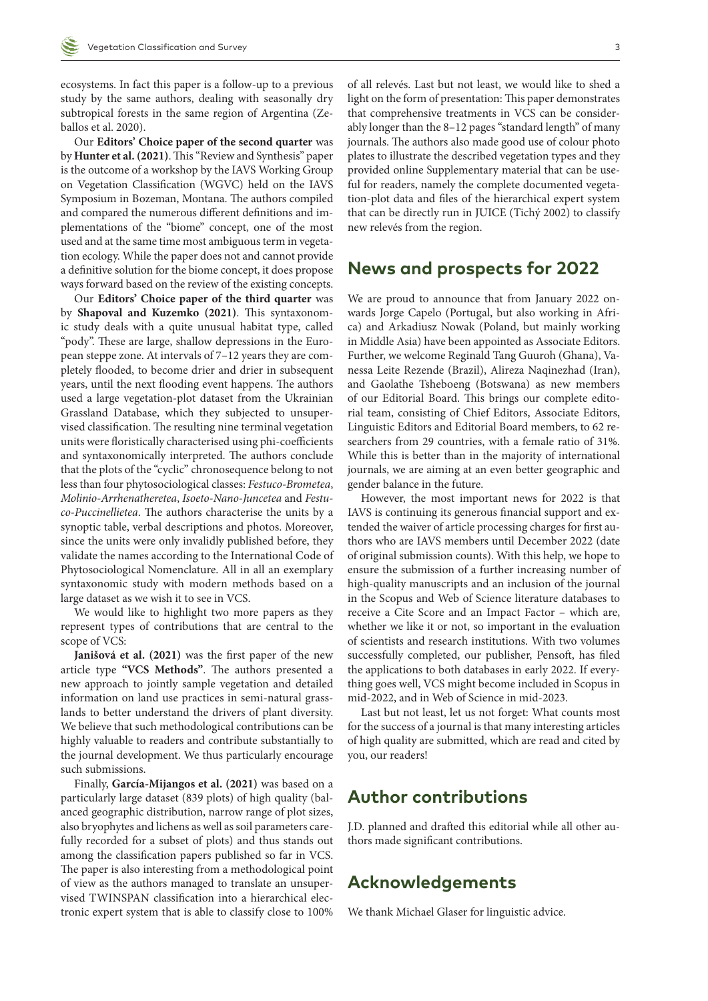ecosystems. In fact this paper is a follow-up to a previous study by the same authors, dealing with seasonally dry subtropical forests in the same region of Argentina (Zeballos et al. 2020).

Our **Editors' Choice paper of the second quarter** was by **Hunter et al. (2021)**. This "Review and Synthesis" paper is the outcome of a workshop by the IAVS Working Group on Vegetation Classification (WGVC) held on the IAVS Symposium in Bozeman, Montana. The authors compiled and compared the numerous different definitions and implementations of the "biome" concept, one of the most used and at the same time most ambiguous term in vegetation ecology. While the paper does not and cannot provide a definitive solution for the biome concept, it does propose ways forward based on the review of the existing concepts.

Our **Editors' Choice paper of the third quarter** was by **Shapoval and Kuzemko (2021)**. This syntaxonomic study deals with a quite unusual habitat type, called "pody". These are large, shallow depressions in the European steppe zone. At intervals of 7–12 years they are completely flooded, to become drier and drier in subsequent years, until the next flooding event happens. The authors used a large vegetation-plot dataset from the Ukrainian Grassland Database, which they subjected to unsupervised classification. The resulting nine terminal vegetation units were floristically characterised using phi-coefficients and syntaxonomically interpreted. The authors conclude that the plots of the "cyclic" chronosequence belong to not less than four phytosociological classes: *Festuco-Brometea*, *Molinio-Arrhenatheretea*, *Isoeto-Nano-Juncetea* and *Festuco-Puccinellietea*. The authors characterise the units by a synoptic table, verbal descriptions and photos. Moreover, since the units were only invalidly published before, they validate the names according to the International Code of Phytosociological Nomenclature. All in all an exemplary syntaxonomic study with modern methods based on a large dataset as we wish it to see in VCS.

We would like to highlight two more papers as they represent types of contributions that are central to the scope of VCS:

**Janišová et al. (2021)** was the first paper of the new article type **"VCS Methods"**. The authors presented a new approach to jointly sample vegetation and detailed information on land use practices in semi-natural grasslands to better understand the drivers of plant diversity. We believe that such methodological contributions can be highly valuable to readers and contribute substantially to the journal development. We thus particularly encourage such submissions.

Finally, **García-Mijangos et al. (2021)** was based on a particularly large dataset (839 plots) of high quality (balanced geographic distribution, narrow range of plot sizes, also bryophytes and lichens as well as soil parameters carefully recorded for a subset of plots) and thus stands out among the classification papers published so far in VCS. The paper is also interesting from a methodological point of view as the authors managed to translate an unsupervised TWINSPAN classification into a hierarchical electronic expert system that is able to classify close to 100%

of all relevés. Last but not least, we would like to shed a light on the form of presentation: This paper demonstrates that comprehensive treatments in VCS can be considerably longer than the 8–12 pages "standard length" of many journals. The authors also made good use of colour photo plates to illustrate the described vegetation types and they provided online Supplementary material that can be useful for readers, namely the complete documented vegetation-plot data and files of the hierarchical expert system that can be directly run in JUICE (Tichý 2002) to classify new relevés from the region.

### **News and prospects for 2022**

We are proud to announce that from January 2022 onwards Jorge Capelo (Portugal, but also working in Africa) and Arkadiusz Nowak (Poland, but mainly working in Middle Asia) have been appointed as Associate Editors. Further, we welcome Reginald Tang Guuroh (Ghana), Vanessa Leite Rezende (Brazil), Alireza Naqinezhad (Iran), and Gaolathe Tsheboeng (Botswana) as new members of our Editorial Board. This brings our complete editorial team, consisting of Chief Editors, Associate Editors, Linguistic Editors and Editorial Board members, to 62 researchers from 29 countries, with a female ratio of 31%. While this is better than in the majority of international journals, we are aiming at an even better geographic and gender balance in the future.

However, the most important news for 2022 is that IAVS is continuing its generous financial support and extended the waiver of article processing charges for first authors who are IAVS members until December 2022 (date of original submission counts). With this help, we hope to ensure the submission of a further increasing number of high-quality manuscripts and an inclusion of the journal in the Scopus and Web of Science literature databases to receive a Cite Score and an Impact Factor – which are, whether we like it or not, so important in the evaluation of scientists and research institutions. With two volumes successfully completed, our publisher, Pensoft, has filed the applications to both databases in early 2022. If everything goes well, VCS might become included in Scopus in mid-2022, and in Web of Science in mid-2023.

Last but not least, let us not forget: What counts most for the success of a journal is that many interesting articles of high quality are submitted, which are read and cited by you, our readers!

### **Author contributions**

J.D. planned and drafted this editorial while all other authors made significant contributions.

#### **Acknowledgements**

We thank Michael Glaser for linguistic advice.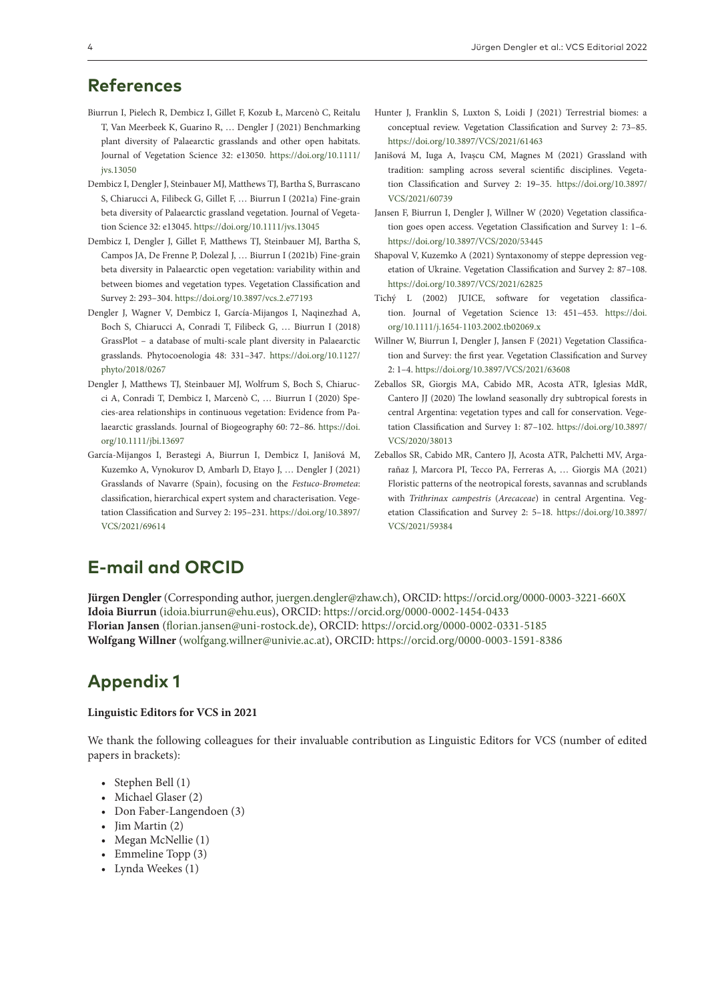- Biurrun I, Pielech R, Dembicz I, Gillet F, Kozub Ł, Marcenò C, Reitalu T, Van Meerbeek K, Guarino R, … Dengler J (2021) Benchmarking plant diversity of Palaearctic grasslands and other open habitats. Journal of Vegetation Science 32: e13050. [https://doi.org/10.1111/](https://doi.org/10.1111/jvs.13050) [jvs.13050](https://doi.org/10.1111/jvs.13050)
- Dembicz I, Dengler J, Steinbauer MJ, Matthews TJ, Bartha S, Burrascano S, Chiarucci A, Filibeck G, Gillet F, … Biurrun I (2021a) Fine-grain beta diversity of Palaearctic grassland vegetation. Journal of Vegetation Science 32: e13045.<https://doi.org/10.1111/jvs.13045>
- Dembicz I, Dengler J, Gillet F, Matthews TJ, Steinbauer MJ, Bartha S, Campos JA, De Frenne P, Dolezal J, … Biurrun I (2021b) Fine-grain beta diversity in Palaearctic open vegetation: variability within and between biomes and vegetation types. Vegetation Classification and Survey 2: 293–304.<https://doi.org/10.3897/vcs.2.e77193>
- Dengler J, Wagner V, Dembicz I, García-Mijangos I, Naqinezhad A, Boch S, Chiarucci A, Conradi T, Filibeck G, … Biurrun I (2018) GrassPlot – a database of multi-scale plant diversity in Palaearctic grasslands. Phytocoenologia 48: 331–347. [https://doi.org/10.1127/](https://doi.org/10.1127/phyto/2018/0267) [phyto/2018/0267](https://doi.org/10.1127/phyto/2018/0267)
- Dengler J, Matthews TJ, Steinbauer MJ, Wolfrum S, Boch S, Chiarucci A, Conradi T, Dembicz I, Marcenò C, … Biurrun I (2020) Species-area relationships in continuous vegetation: Evidence from Palaearctic grasslands. Journal of Biogeography 60: 72–86. [https://doi.](https://doi.org/10.1111/jbi.13697) [org/10.1111/jbi.13697](https://doi.org/10.1111/jbi.13697)
- García-Mijangos I, Berastegi A, Biurrun I, Dembicz I, Janišová M, Kuzemko A, Vynokurov D, Ambarlı D, Etayo J, … Dengler J (2021) Grasslands of Navarre (Spain), focusing on the *Festuco-Brometea*: classification, hierarchical expert system and characterisation. Vegetation Classification and Survey 2: 195–231. [https://doi.org/10.3897/](https://doi.org/10.3897/VCS/2021/69614) [VCS/2021/69614](https://doi.org/10.3897/VCS/2021/69614)
- Hunter J, Franklin S, Luxton S, Loidi J (2021) Terrestrial biomes: a conceptual review. Vegetation Classification and Survey 2: 73–85. <https://doi.org/10.3897/VCS/2021/61463>
- Janišová M, Iuga A, Ivașcu CM, Magnes M (2021) Grassland with tradition: sampling across several scientific disciplines. Vegetation Classification and Survey 2: 19–35. [https://doi.org/10.3897/](https://doi.org/10.3897/VCS/2021/60739) [VCS/2021/60739](https://doi.org/10.3897/VCS/2021/60739)
- Jansen F, Biurrun I, Dengler J, Willner W (2020) Vegetation classification goes open access. Vegetation Classification and Survey 1: 1–6. <https://doi.org/10.3897/VCS/2020/53445>
- Shapoval V, Kuzemko A (2021) Syntaxonomy of steppe depression vegetation of Ukraine. Vegetation Classification and Survey 2: 87–108. <https://doi.org/10.3897/VCS/2021/62825>
- Tichý L (2002) JUICE, software for vegetation classification. Journal of Vegetation Science 13: 451–453. [https://doi.](https://doi.org/10.1111/j.1654-1103.2002.tb02069.x) [org/10.1111/j.1654-1103.2002.tb02069.x](https://doi.org/10.1111/j.1654-1103.2002.tb02069.x)
- Willner W, Biurrun I, Dengler J, Jansen F (2021) Vegetation Classification and Survey: the first year. Vegetation Classification and Survey 2: 1–4.<https://doi.org/10.3897/VCS/2021/63608>
- Zeballos SR, Giorgis MA, Cabido MR, Acosta ATR, Iglesias MdR, Cantero JJ (2020) The lowland seasonally dry subtropical forests in central Argentina: vegetation types and call for conservation. Vegetation Classification and Survey 1: 87–102. [https://doi.org/10.3897/](https://doi.org/10.3897/VCS/2020/38013) [VCS/2020/38013](https://doi.org/10.3897/VCS/2020/38013)
- Zeballos SR, Cabido MR, Cantero JJ, Acosta ATR, Palchetti MV, Argarañaz J, Marcora PI, Tecco PA, Ferreras A, … Giorgis MA (2021) Floristic patterns of the neotropical forests, savannas and scrublands with *Trithrinax campestris* (*Arecaceae*) in central Argentina. Vegetation Classification and Survey 2: 5–18. [https://doi.org/10.3897/](https://doi.org/10.3897/VCS/2021/59384) [VCS/2021/59384](https://doi.org/10.3897/VCS/2021/59384)

# **E-mail and ORCID**

**Jürgen Dengler** (Corresponding author, [juergen.dengler@zhaw.ch\)](mailto:juergen.dengler@zhaw.ch), ORCID:<https://orcid.org/0000-0003-3221-660X> **Idoia Biurrun** ([idoia.biurrun@ehu.eus\)](mailto:idoia.biurrun@ehu.eus), ORCID:<https://orcid.org/0000-0002-1454-0433> **Florian Jansen** [\(florian.jansen@uni-rostock.de\)](mailto:florian.jansen@uni-rostock.de), ORCID:<https://orcid.org/0000-0002-0331-5185> **Wolfgang Willner** ([wolfgang.willner@univie.ac.at\)](mailto:wolfgang.willner@univie.ac.at), ORCID:<https://orcid.org/0000-0003-1591-8386>

# **Appendix 1**

#### **Linguistic Editors for VCS in 2021**

We thank the following colleagues for their invaluable contribution as Linguistic Editors for VCS (number of edited papers in brackets):

- Stephen Bell (1)
- Michael Glaser (2)
- Don Faber-Langendoen (3)
- Jim Martin (2)
- Megan McNellie (1)
- Emmeline Topp (3)
- Lynda Weekes (1)